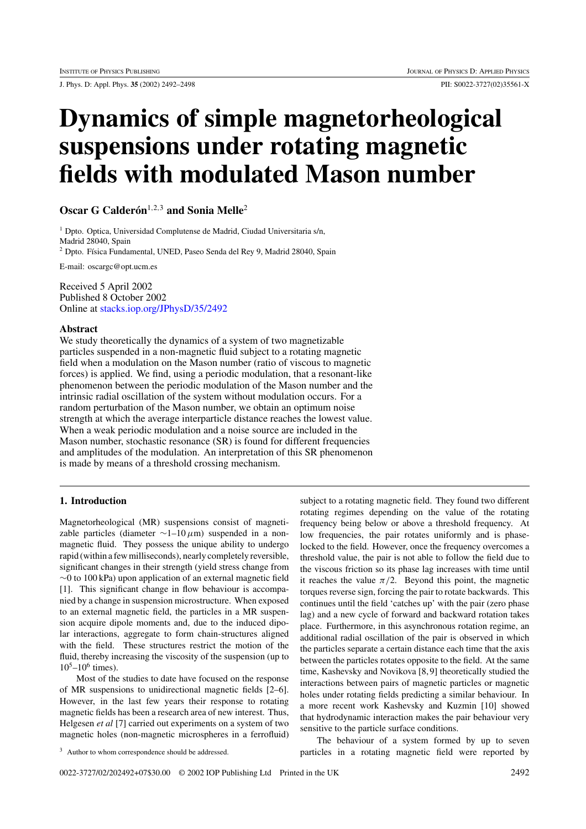J. Phys. D: Appl. Phys. **35** (2002) 2492–2498 PII: S0022-3727(02)35561-X

# **Dynamics of simple magnetorheological suspensions under rotating magnetic fields with modulated Mason number**

**Oscar G Calderón**<sup>1,2,3</sup> and Sonia Melle<sup>2</sup>

<sup>1</sup> Dpto. Optica, Universidad Complutense de Madrid, Ciudad Universitaria s/n, Madrid 28040, Spain <sup>2</sup> Dpto. Física Fundamental, UNED, Paseo Senda del Rey 9, Madrid 28040, Spain

E-mail: oscargc@opt.ucm.es

Received 5 April 2002 Published 8 October 2002 Online at [stacks.iop.org/JPhysD/35/2492](http://stacks.iop.org/jd/35/2492)

#### **Abstract**

We study theoretically the dynamics of a system of two magnetizable particles suspended in a non-magnetic fluid subject to a rotating magnetic field when a modulation on the Mason number (ratio of viscous to magnetic forces) is applied. We find, using a periodic modulation, that a resonant-like phenomenon between the periodic modulation of the Mason number and the intrinsic radial oscillation of the system without modulation occurs. For a random perturbation of the Mason number, we obtain an optimum noise strength at which the average interparticle distance reaches the lowest value. When a weak periodic modulation and a noise source are included in the Mason number, stochastic resonance (SR) is found for different frequencies and amplitudes of the modulation. An interpretation of this SR phenomenon is made by means of a threshold crossing mechanism.

# **1. Introduction**

Magnetorheological (MR) suspensions consist of magnetizable particles (diameter ∼1–10*µ*m) suspended in a nonmagnetic fluid. They possess the unique ability to undergo rapid (within a few milliseconds), nearly completely reversible, significant changes in their strength (yield stress change from ∼0 to 100 kPa) upon application of an external magnetic field [1]. This significant change in flow behaviour is accompanied by a change in suspension microstructure. When exposed to an external magnetic field, the particles in a MR suspension acquire dipole moments and, due to the induced dipolar interactions, aggregate to form chain-structures aligned with the field. These structures restrict the motion of the fluid, thereby increasing the viscosity of the suspension (up to  $10^5 - 10^6$  times).

Most of the studies to date have focused on the response of MR suspensions to unidirectional magnetic fields [2–6]. However, in the last few years their response to rotating magnetic fields has been a research area of new interest. Thus, Helgesen *et al* [7] carried out experiments on a system of two magnetic holes (non-magnetic microspheres in a ferrofluid)

subject to a rotating magnetic field. They found two different rotating regimes depending on the value of the rotating frequency being below or above a threshold frequency. At low frequencies, the pair rotates uniformly and is phaselocked to the field. However, once the frequency overcomes a threshold value, the pair is not able to follow the field due to the viscous friction so its phase lag increases with time until it reaches the value  $\pi/2$ . Beyond this point, the magnetic torques reverse sign, forcing the pair to rotate backwards. This continues until the field 'catches up' with the pair (zero phase lag) and a new cycle of forward and backward rotation takes place. Furthermore, in this asynchronous rotation regime, an additional radial oscillation of the pair is observed in which the particles separate a certain distance each time that the axis between the particles rotates opposite to the field. At the same time, Kashevsky and Novikova [8, 9] theoretically studied the interactions between pairs of magnetic particles or magnetic holes under rotating fields predicting a similar behaviour. In a more recent work Kashevsky and Kuzmin [10] showed that hydrodynamic interaction makes the pair behaviour very sensitive to the particle surface conditions.

<sup>3</sup> Author to whom correspondence should be addressed.

The behaviour of a system formed by up to seven particles in a rotating magnetic field were reported by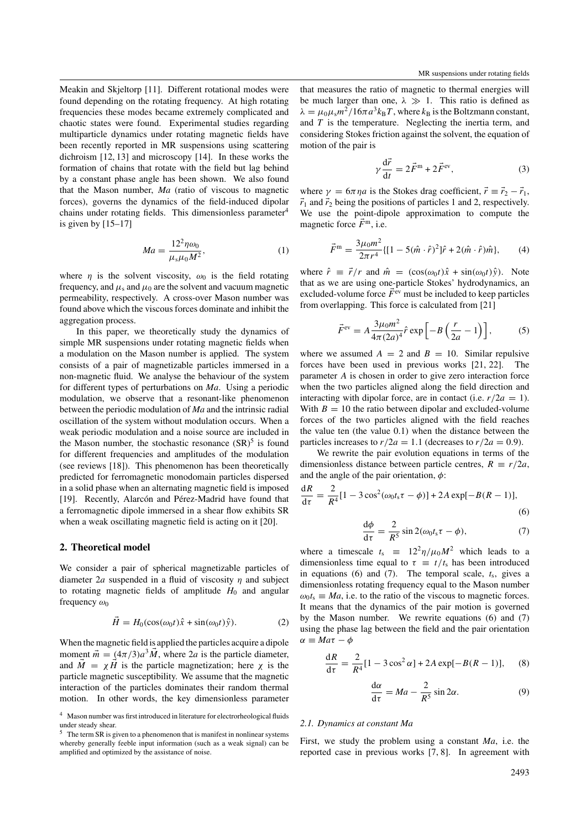Meakin and Skjeltorp [11]. Different rotational modes were found depending on the rotating frequency. At high rotating frequencies these modes became extremely complicated and chaotic states were found. Experimental studies regarding multiparticle dynamics under rotating magnetic fields have been recently reported in MR suspensions using scattering dichroism [12, 13] and microscopy [14]. In these works the formation of chains that rotate with the field but lag behind by a constant phase angle has been shown. We also found that the Mason number, *Ma* (ratio of viscous to magnetic forces), governs the dynamics of the field-induced dipolar chains under rotating fields. This dimensionless parameter<sup>4</sup> is given by  $[15-17]$ 

$$
Ma = \frac{12^2 \eta \omega_0}{\mu_s \mu_0 M^2},\tag{1}
$$

where  $\eta$  is the solvent viscosity,  $\omega_0$  is the field rotating frequency, and  $\mu_s$  and  $\mu_0$  are the solvent and vacuum magnetic permeability, respectively. A cross-over Mason number was found above which the viscous forces dominate and inhibit the aggregation process.

In this paper, we theoretically study the dynamics of simple MR suspensions under rotating magnetic fields when a modulation on the Mason number is applied. The system consists of a pair of magnetizable particles immersed in a non-magnetic fluid. We analyse the behaviour of the system for different types of perturbations on *Ma*. Using a periodic modulation, we observe that a resonant-like phenomenon between the periodic modulation of *Ma* and the intrinsic radial oscillation of the system without modulation occurs. When a weak periodic modulation and a noise source are included in the Mason number, the stochastic resonance  $(SR)^5$  is found for different frequencies and amplitudes of the modulation (see reviews [18]). This phenomenon has been theoretically predicted for ferromagnetic monodomain particles dispersed in a solid phase when an alternating magnetic field is imposed [19]. Recently, Alarcón and Pérez-Madrid have found that a ferromagnetic dipole immersed in a shear flow exhibits SR when a weak oscillating magnetic field is acting on it [20].

#### **2. Theoretical model**

We consider a pair of spherical magnetizable particles of diameter 2*a* suspended in a fluid of viscosity *η* and subject to rotating magnetic fields of amplitude  $H_0$  and angular frequency *ω*<sub>0</sub>

$$
\vec{H} = H_0(\cos(\omega_0 t)\hat{x} + \sin(\omega_0 t)\hat{y}).
$$
 (2)

When the magnetic field is applied the particles acquire a dipole moment  $\vec{m} = (4\pi/3)a^3 \vec{M}$ , where  $2a$  is the particle diameter, and  $\vec{M} = \chi \vec{H}$  is the particle magnetization; here  $\chi$  is the particle magnetic susceptibility. We assume that the magnetic interaction of the particles dominates their random thermal motion. In other words, the key dimensionless parameter

that measures the ratio of magnetic to thermal energies will be much larger than one,  $\lambda \gg 1$ . This ratio is defined as  $\lambda = \mu_0 \mu_s m^2 / 16 \pi a^3 k_B T$ , where  $k_B$  is the Boltzmann constant, and *T* is the temperature. Neglecting the inertia term, and considering Stokes friction against the solvent, the equation of motion of the pair is

$$
\gamma \frac{\mathrm{d}\vec{r}}{\mathrm{d}t} = 2\vec{F}^{\mathrm{m}} + 2\vec{F}^{\mathrm{ev}},\tag{3}
$$

where  $\gamma = 6\pi \eta a$  is the Stokes drag coefficient,  $\vec{r} \equiv \vec{r}_2 - \vec{r}_1$ ,  $\vec{r}_1$  and  $\vec{r}_2$  being the positions of particles 1 and 2, respectively. We use the point-dipole approximation to compute the magnetic force  $\vec{F}^{\text{m}}$ , i.e.

$$
\vec{F}^{\text{m}} = \frac{3\mu_0 m^2}{2\pi r^4} \{ [1 - 5(\hat{m} \cdot \hat{r})^2] \hat{r} + 2(\hat{m} \cdot \hat{r}) \hat{m} \},\qquad(4)
$$

where  $\hat{r} \equiv \vec{r}/r$  and  $\hat{m} = (\cos(\omega_0 t)\hat{x} + \sin(\omega_0 t)\hat{y})$ . Note that as we are using one-particle Stokes' hydrodynamics, an excluded-volume force  $\vec{F}^{\text{ev}}$  must be included to keep particles from overlapping. This force is calculated from [21]

$$
\vec{F}^{\text{ev}} = A \frac{3\mu_0 m^2}{4\pi (2a)^4} \hat{r} \exp\left[-B\left(\frac{r}{2a} - 1\right)\right],\tag{5}
$$

where we assumed  $A = 2$  and  $B = 10$ . Similar repulsive forces have been used in previous works [21, 22]. The parameter *A* is chosen in order to give zero interaction force when the two particles aligned along the field direction and interacting with dipolar force, are in contact (i.e.  $r/2a = 1$ ). With  $B = 10$  the ratio between dipolar and excluded-volume forces of the two particles aligned with the field reaches the value ten (the value 0.1) when the distance between the particles increases to  $r/2a = 1.1$  (decreases to  $r/2a = 0.9$ ).

We rewrite the pair evolution equations in terms of the dimensionless distance between particle centres,  $R \equiv r/2a$ , and the angle of the pair orientation, *φ*:

$$
\frac{dR}{d\tau} = \frac{2}{R^4} [1 - 3\cos^2(\omega_0 t_s \tau - \phi)] + 2A \exp[-B(R - 1)],
$$
\n(6)

$$
\frac{d\phi}{d\tau} = \frac{2}{R^5} \sin 2(\omega_0 t_s \tau - \phi),\tag{7}
$$

where a timescale  $t_s = 12^2 \eta / \mu_0 M^2$  which leads to a dimensionless time equal to  $\tau = t/t_s$  has been introduced in equations (6) and (7). The temporal scale,  $t_s$ , gives a dimensionless rotating frequency equal to the Mason number  $\omega_0 t_s \equiv Ma$ , i.e. to the ratio of the viscous to magnetic forces. It means that the dynamics of the pair motion is governed by the Mason number. We rewrite equations (6) and (7) using the phase lag between the field and the pair orientation *α* ≡ *Maτ* − *φ*

$$
\frac{dR}{d\tau} = \frac{2}{R^4} [1 - 3\cos^2 \alpha] + 2A \exp[-B(R - 1)], \quad (8)
$$

$$
\frac{d\alpha}{d\tau} = Ma - \frac{2}{R^5} \sin 2\alpha.
$$
 (9)

#### *2.1. Dynamics at constant Ma*

First, we study the problem using a constant *Ma*, i.e. the reported case in previous works [7, 8]. In agreement with

<sup>4</sup> Mason number was first introduced in literature for electrorheological fluids under steady shear.

The term SR is given to a phenomenon that is manifest in nonlinear systems whereby generally feeble input information (such as a weak signal) can be amplified and optimized by the assistance of noise.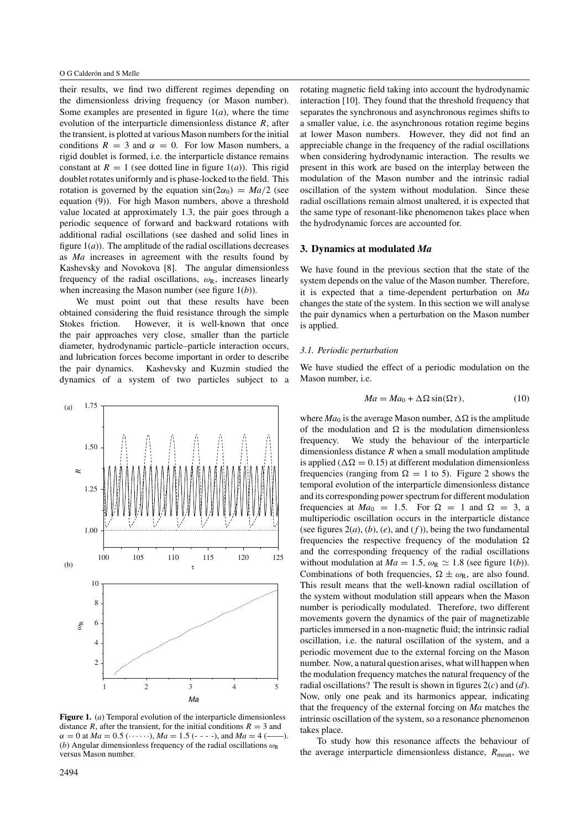their results, we find two different regimes depending on the dimensionless driving frequency (or Mason number). Some examples are presented in figure  $1(a)$ , where the time evolution of the interparticle dimensionless distance *R*, after the transient, is plotted at various Mason numbers for the initial conditions  $R = 3$  and  $\alpha = 0$ . For low Mason numbers, a rigid doublet is formed, i.e. the interparticle distance remains constant at  $R = 1$  (see dotted line in figure 1(*a*)). This rigid doublet rotates uniformly and is phase-locked to the field. This rotation is governed by the equation  $sin(2\alpha_0) = Ma/2$  (see equation (9)). For high Mason numbers, above a threshold value located at approximately 1.3, the pair goes through a periodic sequence of forward and backward rotations with additional radial oscillations (see dashed and solid lines in figure  $1(a)$ ). The amplitude of the radial oscillations decreases as *Ma* increases in agreement with the results found by Kashevsky and Novokova [8]. The angular dimensionless frequency of the radial oscillations,  $\omega_R$ , increases linearly when increasing the Mason number (see figure 1(*b*)).

We must point out that these results have been obtained considering the fluid resistance through the simple Stokes friction. However, it is well-known that once the pair approaches very close, smaller than the particle diameter, hydrodynamic particle–particle interaction occurs, and lubrication forces become important in order to describe the pair dynamics. Kashevsky and Kuzmin studied the dynamics of a system of two particles subject to a



**Figure 1.** (*a*) Temporal evolution of the interparticle dimensionless distance *R*, after the transient, for the initial conditions  $R = 3$  and  $\alpha = 0$  at  $Ma = 0.5$  ( $\cdots$ ),  $Ma = 1.5$  ( $\cdots$ ), and  $Ma = 4$  ( $\cdots$ ). (*b*) Angular dimensionless frequency of the radial oscillations *ω*<sup>R</sup> versus Mason number.

rotating magnetic field taking into account the hydrodynamic interaction [10]. They found that the threshold frequency that separates the synchronous and asynchronous regimes shifts to a smaller value, i.e. the asynchronous rotation regime begins at lower Mason numbers. However, they did not find an appreciable change in the frequency of the radial oscillations when considering hydrodynamic interaction. The results we present in this work are based on the interplay between the modulation of the Mason number and the intrinsic radial oscillation of the system without modulation. Since these radial oscillations remain almost unaltered, it is expected that the same type of resonant-like phenomenon takes place when the hydrodynamic forces are accounted for.

#### **3. Dynamics at modulated** *Ma*

We have found in the previous section that the state of the system depends on the value of the Mason number. Therefore, it is expected that a time-dependent perturbation on *Ma* changes the state of the system. In this section we will analyse the pair dynamics when a perturbation on the Mason number is applied.

## *3.1. Periodic perturbation*

We have studied the effect of a periodic modulation on the Mason number, i.e.

$$
Ma = Ma_0 + \Delta\Omega \sin(\Omega \tau), \qquad (10)
$$

where  $Ma_0$  is the average Mason number,  $\Delta\Omega$  is the amplitude of the modulation and  $\Omega$  is the modulation dimensionless frequency. We study the behaviour of the interparticle dimensionless distance *R* when a small modulation amplitude is applied ( $\Delta \Omega = 0.15$ ) at different modulation dimensionless frequencies (ranging from  $\Omega = 1$  to 5). Figure 2 shows the temporal evolution of the interparticle dimensionless distance and its corresponding power spectrum for different modulation frequencies at  $Ma_0 = 1.5$ . For  $\Omega = 1$  and  $\Omega = 3$ , a multiperiodic oscillation occurs in the interparticle distance (see figures  $2(a)$ ,  $(b)$ ,  $(e)$ , and  $(f)$ ), being the two fundamental frequencies the respective frequency of the modulation  $\Omega$ and the corresponding frequency of the radial oscillations without modulation at  $Ma = 1.5$ ,  $\omega_R \simeq 1.8$  (see figure 1(*b*)). Combinations of both frequencies,  $\Omega \pm \omega_R$ , are also found. This result means that the well-known radial oscillation of the system without modulation still appears when the Mason number is periodically modulated. Therefore, two different movements govern the dynamics of the pair of magnetizable particles immersed in a non-magnetic fluid; the intrinsic radial oscillation, i.e. the natural oscillation of the system, and a periodic movement due to the external forcing on the Mason number. Now, a natural question arises, what will happen when the modulation frequency matches the natural frequency of the radial oscillations? The result is shown in figures 2(*c*) and (*d*). Now, only one peak and its harmonics appear, indicating that the frequency of the external forcing on *Ma* matches the intrinsic oscillation of the system, so a resonance phenomenon takes place.

To study how this resonance affects the behaviour of the average interparticle dimensionless distance,  $R_{\text{mean}}$ , we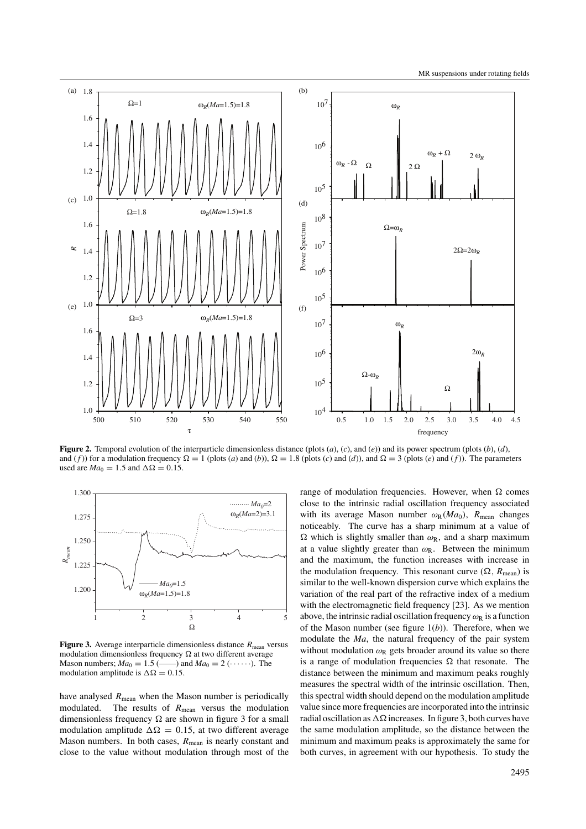

**Figure 2.** Temporal evolution of the interparticle dimensionless distance (plots (*a*), (*c*), and (*e*)) and its power spectrum (plots (*b*), (*d*), and (*f*)) for a modulation frequency  $\Omega = 1$  (plots (*a*) and (*b*)),  $\Omega = 1.8$  (plots (*c*) and (*d*)), and  $\Omega = 3$  (plots (*e*) and (*f*)). The parameters used are  $Ma_0 = 1.5$  and  $\Delta \Omega = 0.15$ .



**Figure 3.** Average interparticle dimensionless distance  $R_{\text{mean}}$  versus modulation dimensionless frequency  $\Omega$  at two different average Mason numbers;  $Ma_0 = 1.5$  (....) and  $Ma_0 = 2$  (....). The  $\longrightarrow$  and  $Ma_0 = 2 \, (\cdots)$ . The modulation amplitude is  $\Delta \Omega = 0.15$ .

have analysed  $R_{\text{mean}}$  when the Mason number is periodically modulated. The results of  $R_{\text{mean}}$  versus the modulation dimensionless frequency  $\Omega$  are shown in figure 3 for a small modulation amplitude  $\Delta \Omega = 0.15$ , at two different average Mason numbers. In both cases,  $R_{\text{mean}}$  is nearly constant and close to the value without modulation through most of the range of modulation frequencies. However, when  $\Omega$  comes close to the intrinsic radial oscillation frequency associated with its average Mason number  $\omega_R(Ma_0)$ ,  $R_{\text{mean}}$  changes noticeably. The curve has a sharp minimum at a value of  $\Omega$  which is slightly smaller than  $\omega_R$ , and a sharp maximum at a value slightly greater than *ω*R. Between the minimum and the maximum, the function increases with increase in the modulation frequency. This resonant curve  $(\Omega, R_{\text{mean}})$  is similar to the well-known dispersion curve which explains the variation of the real part of the refractive index of a medium with the electromagnetic field frequency [23]. As we mention above, the intrinsic radial oscillation frequency  $\omega_R$  is a function of the Mason number (see figure 1(*b*)). Therefore, when we modulate the *Ma*, the natural frequency of the pair system without modulation  $\omega_R$  gets broader around its value so there is a range of modulation frequencies  $\Omega$  that resonate. The distance between the minimum and maximum peaks roughly measures the spectral width of the intrinsic oscillation. Then, this spectral width should depend on the modulation amplitude value since more frequencies are incorporated into the intrinsic radial oscillation as  $\Delta\Omega$  increases. In figure 3, both curves have the same modulation amplitude, so the distance between the minimum and maximum peaks is approximately the same for both curves, in agreement with our hypothesis. To study the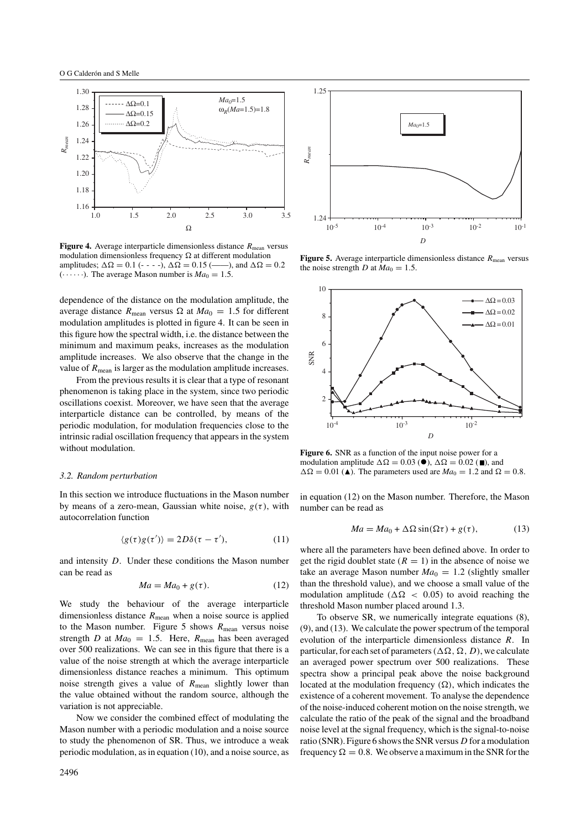

**Figure 4.** Average interparticle dimensionless distance  $R_{\text{mean}}$  versus modulation dimensionless frequency  $\Omega$  at different modulation amplitudes;  $\Delta \Omega = 0.1$  (- - - -),  $\Delta \Omega = 0.15$  (-----), and  $\Delta \Omega = 0.2$  $(\cdots)$ . The average Mason number is  $Ma_0 = 1.5$ .

dependence of the distance on the modulation amplitude, the average distance  $R_{\text{mean}}$  versus  $\Omega$  at  $Ma_0 = 1.5$  for different modulation amplitudes is plotted in figure 4. It can be seen in this figure how the spectral width, i.e. the distance between the minimum and maximum peaks, increases as the modulation amplitude increases. We also observe that the change in the value of  $R_{\text{mean}}$  is larger as the modulation amplitude increases.

From the previous results it is clear that a type of resonant phenomenon is taking place in the system, since two periodic oscillations coexist. Moreover, we have seen that the average interparticle distance can be controlled, by means of the periodic modulation, for modulation frequencies close to the intrinsic radial oscillation frequency that appears in the system without modulation.

#### *3.2. Random perturbation*

In this section we introduce fluctuations in the Mason number by means of a zero-mean, Gaussian white noise,  $g(\tau)$ , with autocorrelation function

$$
\langle g(\tau)g(\tau')\rangle = 2D\delta(\tau - \tau'),\tag{11}
$$

and intensity *D*. Under these conditions the Mason number can be read as

$$
Ma = Ma_0 + g(\tau). \tag{12}
$$

We study the behaviour of the average interparticle dimensionless distance *R*mean when a noise source is applied to the Mason number. Figure 5 shows  $R_{\text{mean}}$  versus noise strength *D* at  $Ma_0 = 1.5$ . Here,  $R_{\text{mean}}$  has been averaged over 500 realizations. We can see in this figure that there is a value of the noise strength at which the average interparticle dimensionless distance reaches a minimum. This optimum noise strength gives a value of  $R_{\text{mean}}$  slightly lower than the value obtained without the random source, although the variation is not appreciable.

Now we consider the combined effect of modulating the Mason number with a periodic modulation and a noise source to study the phenomenon of SR. Thus, we introduce a weak periodic modulation, as in equation (10), and a noise source, as



**Figure 5.** Average interparticle dimensionless distance  $R_{\text{mean}}$  versus the noise strength *D* at  $Ma_0 = 1.5$ .



**Figure 6.** SNR as a function of the input noise power for a modulation amplitude  $\Delta \Omega = 0.03$  ( $\bullet$ ),  $\Delta \Omega = 0.02$  ( $\bullet$ ), and  $\Delta \Omega = 0.01$  (A). The parameters used are  $Ma_0 = 1.2$  and  $\Omega = 0.8$ .

in equation (12) on the Mason number. Therefore, the Mason number can be read as

$$
Ma = Ma_0 + \Delta\Omega\sin(\Omega\tau) + g(\tau),\tag{13}
$$

where all the parameters have been defined above. In order to get the rigid doublet state  $(R = 1)$  in the absence of noise we take an average Mason number  $Ma_0 = 1.2$  (slightly smaller than the threshold value), and we choose a small value of the modulation amplitude ( $\Delta \Omega$  < 0.05) to avoid reaching the threshold Mason number placed around 1.3.

To observe SR, we numerically integrate equations (8), (9), and (13). We calculate the power spectrum of the temporal evolution of the interparticle dimensionless distance *R*. In particular, for each set of parameters  $(\Delta \Omega, \Omega, D)$ , we calculate an averaged power spectrum over 500 realizations. These spectra show a principal peak above the noise background located at the modulation frequency  $(\Omega)$ , which indicates the existence of a coherent movement. To analyse the dependence of the noise-induced coherent motion on the noise strength, we calculate the ratio of the peak of the signal and the broadband noise level at the signal frequency, which is the signal-to-noise ratio (SNR). Figure 6 shows the SNR versus *D* for a modulation frequency  $\Omega = 0.8$ . We observe a maximum in the SNR for the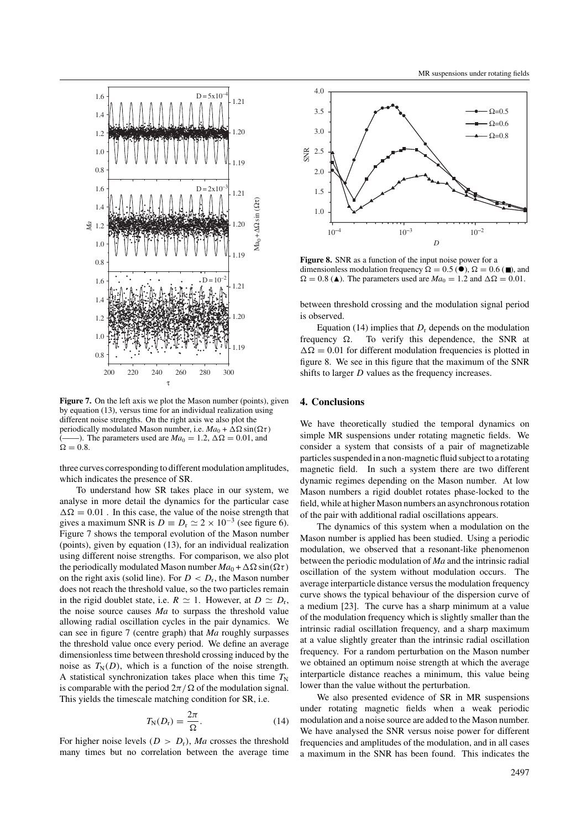

**Figure 7.** On the left axis we plot the Mason number (points), given by equation (13), versus time for an individual realization using different noise strengths. On the right axis we also plot the periodically modulated Mason number, i.e.  $Ma_0 + \Delta\Omega \sin(\Omega \tau)$ (——). The parameters used are  $Ma_0 = 1.2$ ,  $\Delta \Omega = 0.01$ , and  $\Omega = 0.8$ .

three curves corresponding to different modulation amplitudes, which indicates the presence of SR.

To understand how SR takes place in our system, we analyse in more detail the dynamics for the particular case  $\Delta \Omega = 0.01$ . In this case, the value of the noise strength that gives a maximum SNR is  $D \equiv D_r \simeq 2 \times 10^{-3}$  (see figure 6). Figure 7 shows the temporal evolution of the Mason number (points), given by equation (13), for an individual realization using different noise strengths. For comparison, we also plot the periodically modulated Mason number  $Ma_0 + \Delta\Omega \sin(\Omega \tau)$ on the right axis (solid line). For  $D < D_r$ , the Mason number does not reach the threshold value, so the two particles remain in the rigid doublet state, i.e.  $R \simeq 1$ . However, at  $D \simeq D_r$ , the noise source causes *Ma* to surpass the threshold value allowing radial oscillation cycles in the pair dynamics. We can see in figure 7 (centre graph) that *Ma* roughly surpasses the threshold value once every period. We define an average dimensionless time between threshold crossing induced by the noise as  $T_N(D)$ , which is a function of the noise strength. A statistical synchronization takes place when this time  $T_N$ is comparable with the period  $2\pi/\Omega$  of the modulation signal. This yields the timescale matching condition for SR, i.e.

$$
T_{\rm N}(D_{\rm r}) = \frac{2\pi}{\Omega}.
$$
 (14)

For higher noise levels  $(D > D_r)$ , *Ma* crosses the threshold many times but no correlation between the average time



**Figure 8.** SNR as a function of the input noise power for a dimensionless modulation frequency  $\Omega = 0.5$  ( $\bullet$ ),  $\Omega = 0.6$  ( $\bullet$ ), and  $\Omega = 0.8$  ( $\triangle$ ). The parameters used are  $Ma_0 = 1.2$  and  $\Delta\Omega = 0.01$ .

between threshold crossing and the modulation signal period is observed.

Equation (14) implies that  $D_r$  depends on the modulation frequency  $\Omega$ . To verify this dependence, the SNR at  $\Delta \Omega = 0.01$  for different modulation frequencies is plotted in figure 8. We see in this figure that the maximum of the SNR shifts to larger *D* values as the frequency increases.

#### **4. Conclusions**

We have theoretically studied the temporal dynamics on simple MR suspensions under rotating magnetic fields. We consider a system that consists of a pair of magnetizable particles suspended in a non-magnetic fluid subject to a rotating magnetic field. In such a system there are two different dynamic regimes depending on the Mason number. At low Mason numbers a rigid doublet rotates phase-locked to the field, while at higher Mason numbers an asynchronous rotation of the pair with additional radial oscillations appears.

The dynamics of this system when a modulation on the Mason number is applied has been studied. Using a periodic modulation, we observed that a resonant-like phenomenon between the periodic modulation of *Ma* and the intrinsic radial oscillation of the system without modulation occurs. The average interparticle distance versus the modulation frequency curve shows the typical behaviour of the dispersion curve of a medium [23]. The curve has a sharp minimum at a value of the modulation frequency which is slightly smaller than the intrinsic radial oscillation frequency, and a sharp maximum at a value slightly greater than the intrinsic radial oscillation frequency. For a random perturbation on the Mason number we obtained an optimum noise strength at which the average interparticle distance reaches a minimum, this value being lower than the value without the perturbation.

We also presented evidence of SR in MR suspensions under rotating magnetic fields when a weak periodic modulation and a noise source are added to the Mason number. We have analysed the SNR versus noise power for different frequencies and amplitudes of the modulation, and in all cases a maximum in the SNR has been found. This indicates the